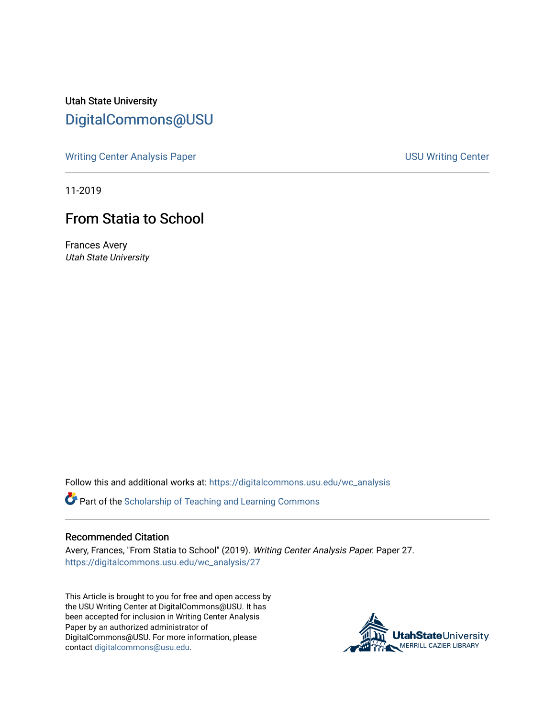Utah State University [DigitalCommons@USU](https://digitalcommons.usu.edu/)

[Writing Center Analysis Paper](https://digitalcommons.usu.edu/wc_analysis) National Communication of the USU Writing Center

11-2019

## From Statia to School

Frances Avery Utah State University

Follow this and additional works at: [https://digitalcommons.usu.edu/wc\\_analysis](https://digitalcommons.usu.edu/wc_analysis?utm_source=digitalcommons.usu.edu%2Fwc_analysis%2F27&utm_medium=PDF&utm_campaign=PDFCoverPages) 

Part of the [Scholarship of Teaching and Learning Commons](http://network.bepress.com/hgg/discipline/1328?utm_source=digitalcommons.usu.edu%2Fwc_analysis%2F27&utm_medium=PDF&utm_campaign=PDFCoverPages) 

## Recommended Citation

Avery, Frances, "From Statia to School" (2019). Writing Center Analysis Paper. Paper 27. [https://digitalcommons.usu.edu/wc\\_analysis/27](https://digitalcommons.usu.edu/wc_analysis/27?utm_source=digitalcommons.usu.edu%2Fwc_analysis%2F27&utm_medium=PDF&utm_campaign=PDFCoverPages)

This Article is brought to you for free and open access by the USU Writing Center at DigitalCommons@USU. It has been accepted for inclusion in Writing Center Analysis Paper by an authorized administrator of DigitalCommons@USU. For more information, please contact [digitalcommons@usu.edu](mailto:digitalcommons@usu.edu).

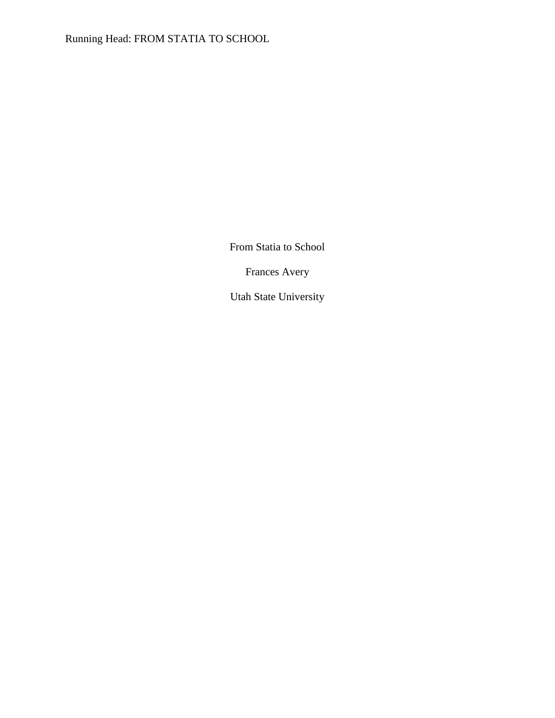Running Head: FROM STATIA TO SCHOOL

From Statia to School

Frances Avery

Utah State University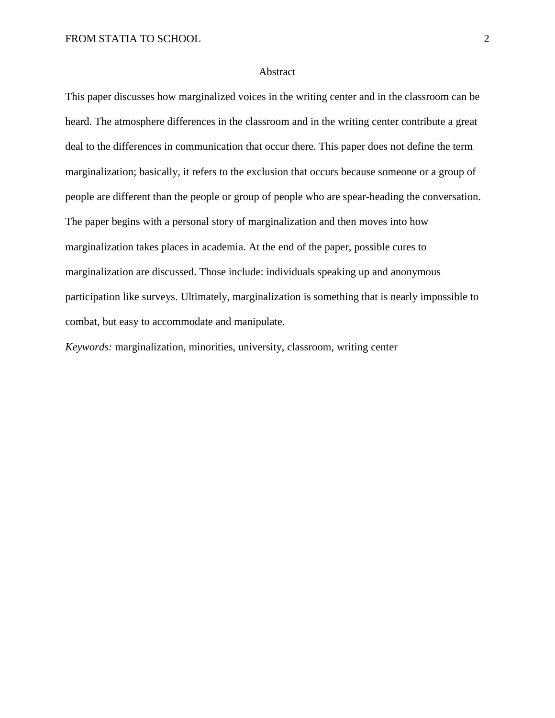## Abstract

This paper discusses how marginalized voices in the writing center and in the classroom can be heard. The atmosphere differences in the classroom and in the writing center contribute a great deal to the differences in communication that occur there. This paper does not define the term marginalization; basically, it refers to the exclusion that occurs because someone or a group of people are different than the people or group of people who are spear-heading the conversation. The paper begins with a personal story of marginalization and then moves into how marginalization takes places in academia. At the end of the paper, possible cures to marginalization are discussed. Those include: individuals speaking up and anonymous participation like surveys. Ultimately, marginalization is something that is nearly impossible to combat, but easy to accommodate and manipulate.

*Keywords:* marginalization, minorities, university, classroom, writing center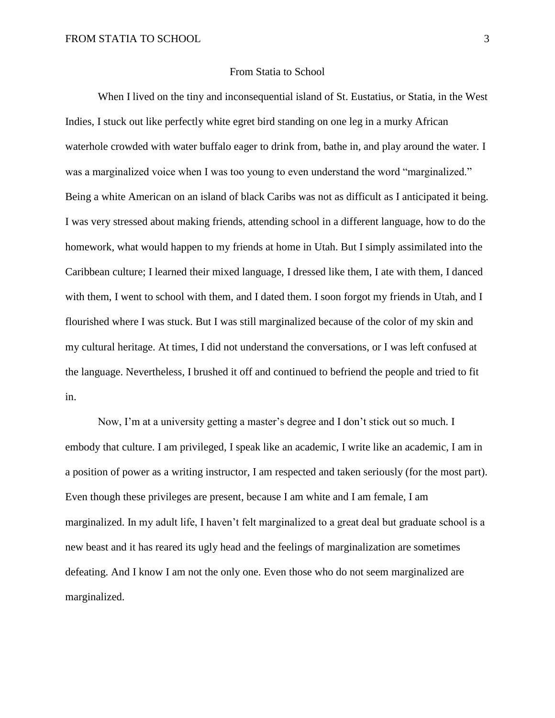## From Statia to School

When I lived on the tiny and inconsequential island of St. Eustatius, or Statia, in the West Indies, I stuck out like perfectly white egret bird standing on one leg in a murky African waterhole crowded with water buffalo eager to drink from, bathe in, and play around the water. I was a marginalized voice when I was too young to even understand the word "marginalized." Being a white American on an island of black Caribs was not as difficult as I anticipated it being. I was very stressed about making friends, attending school in a different language, how to do the homework, what would happen to my friends at home in Utah. But I simply assimilated into the Caribbean culture; I learned their mixed language, I dressed like them, I ate with them, I danced with them, I went to school with them, and I dated them. I soon forgot my friends in Utah, and I flourished where I was stuck. But I was still marginalized because of the color of my skin and my cultural heritage. At times, I did not understand the conversations, or I was left confused at the language. Nevertheless, I brushed it off and continued to befriend the people and tried to fit in.

Now, I'm at a university getting a master's degree and I don't stick out so much. I embody that culture. I am privileged, I speak like an academic, I write like an academic, I am in a position of power as a writing instructor, I am respected and taken seriously (for the most part). Even though these privileges are present, because I am white and I am female, I am marginalized. In my adult life, I haven't felt marginalized to a great deal but graduate school is a new beast and it has reared its ugly head and the feelings of marginalization are sometimes defeating. And I know I am not the only one. Even those who do not seem marginalized are marginalized.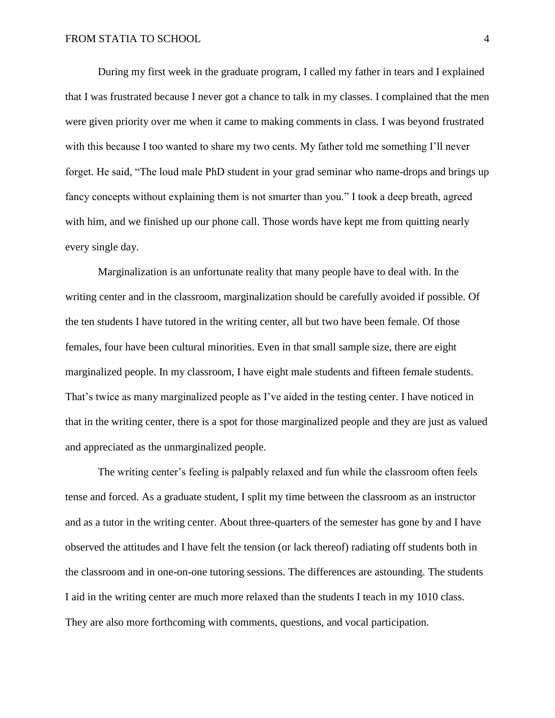During my first week in the graduate program, I called my father in tears and I explained that I was frustrated because I never got a chance to talk in my classes. I complained that the men were given priority over me when it came to making comments in class. I was beyond frustrated with this because I too wanted to share my two cents. My father told me something I'll never forget. He said, "The loud male PhD student in your grad seminar who name-drops and brings up fancy concepts without explaining them is not smarter than you." I took a deep breath, agreed with him, and we finished up our phone call. Those words have kept me from quitting nearly every single day.

Marginalization is an unfortunate reality that many people have to deal with. In the writing center and in the classroom, marginalization should be carefully avoided if possible. Of the ten students I have tutored in the writing center, all but two have been female. Of those females, four have been cultural minorities. Even in that small sample size, there are eight marginalized people. In my classroom, I have eight male students and fifteen female students. That's twice as many marginalized people as I've aided in the testing center. I have noticed in that in the writing center, there is a spot for those marginalized people and they are just as valued and appreciated as the unmarginalized people.

The writing center's feeling is palpably relaxed and fun while the classroom often feels tense and forced. As a graduate student, I split my time between the classroom as an instructor and as a tutor in the writing center. About three-quarters of the semester has gone by and I have observed the attitudes and I have felt the tension (or lack thereof) radiating off students both in the classroom and in one-on-one tutoring sessions. The differences are astounding. The students I aid in the writing center are much more relaxed than the students I teach in my 1010 class. They are also more forthcoming with comments, questions, and vocal participation.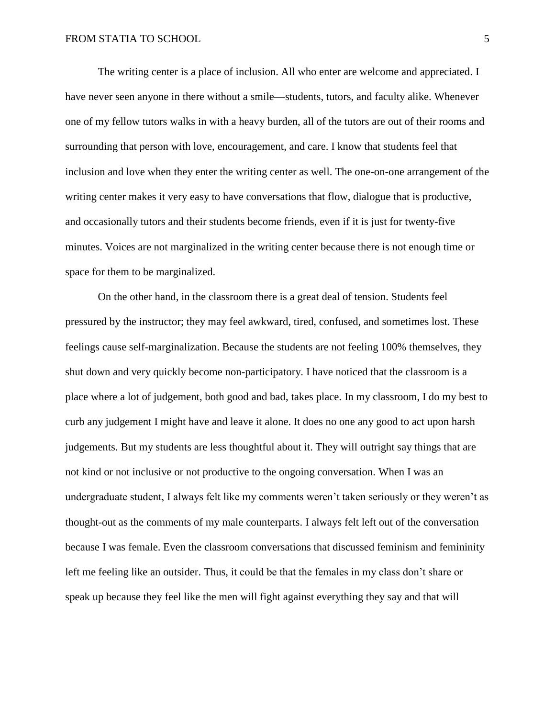The writing center is a place of inclusion. All who enter are welcome and appreciated. I have never seen anyone in there without a smile—students, tutors, and faculty alike. Whenever one of my fellow tutors walks in with a heavy burden, all of the tutors are out of their rooms and surrounding that person with love, encouragement, and care. I know that students feel that inclusion and love when they enter the writing center as well. The one-on-one arrangement of the writing center makes it very easy to have conversations that flow, dialogue that is productive, and occasionally tutors and their students become friends, even if it is just for twenty-five minutes. Voices are not marginalized in the writing center because there is not enough time or space for them to be marginalized.

On the other hand, in the classroom there is a great deal of tension. Students feel pressured by the instructor; they may feel awkward, tired, confused, and sometimes lost. These feelings cause self-marginalization. Because the students are not feeling 100% themselves, they shut down and very quickly become non-participatory. I have noticed that the classroom is a place where a lot of judgement, both good and bad, takes place. In my classroom, I do my best to curb any judgement I might have and leave it alone. It does no one any good to act upon harsh judgements. But my students are less thoughtful about it. They will outright say things that are not kind or not inclusive or not productive to the ongoing conversation. When I was an undergraduate student, I always felt like my comments weren't taken seriously or they weren't as thought-out as the comments of my male counterparts. I always felt left out of the conversation because I was female. Even the classroom conversations that discussed feminism and femininity left me feeling like an outsider. Thus, it could be that the females in my class don't share or speak up because they feel like the men will fight against everything they say and that will